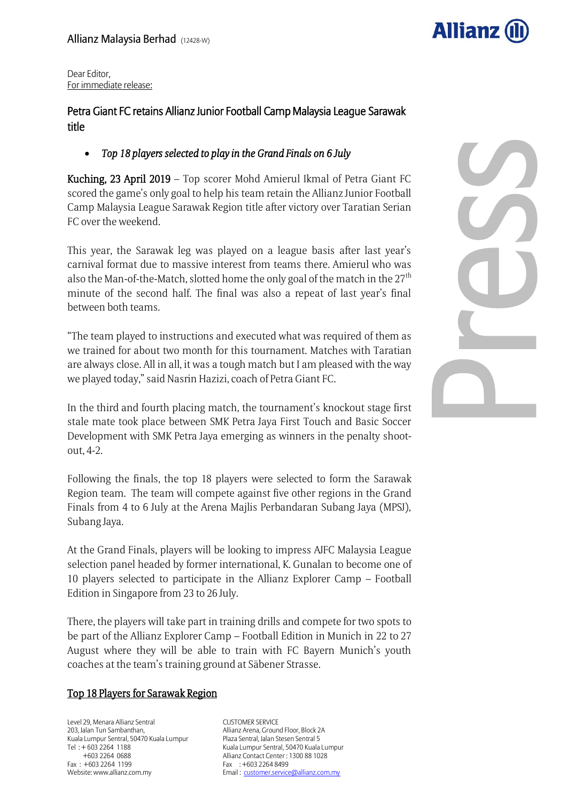

Dear Editor, For immediate release:

# Petra Giant FC retains Allianz Junior Football Camp Malaysia League Sarawak title

## *Top 18 players selected to play in the Grand Finals on 6 July*

Kuching, 23 April 2019 – Top scorer Mohd Amierul Ikmal of Petra Giant FC scored the game's only goal to help his team retain the Allianz Junior Football Camp Malaysia League Sarawak Region title after victory over Taratian Serian FC over the weekend.

This year, the Sarawak leg was played on a league basis after last year's carnival format due to massive interest from teams there. Amierul who was also the Man-of-the-Match, slotted home the only goal of the match in the  $27<sup>th</sup>$ minute of the second half. The final was also a repeat of last year's final between both teams.

"The team played to instructions and executed what was required of them as we trained for about two month for this tournament. Matches with Taratian are always close. All in all, it was a tough match but I am pleased with the way we played today," said Nasrin Hazizi, coach of Petra Giant FC.

In the third and fourth placing match, the tournament's knockout stage first stale mate took place between SMK Petra Jaya First Touch and Basic Soccer Development with SMK Petra Jaya emerging as winners in the penalty shootout, 4-2.

Following the finals, the top 18 players were selected to form the Sarawak Region team. The team will compete against five other regions in the Grand Finals from 4 to 6 July at the Arena Majlis Perbandaran Subang Jaya (MPSJ), Subang Jaya.

At the Grand Finals, players will be looking to impress AJFC Malaysia League selection panel headed by former international, K. Gunalan to become one of 10 players selected to participate in the Allianz Explorer Camp – Football Edition in Singapore from 23 to 26 July.

There, the players will take part in training drills and compete for two spots to be part of the Allianz Explorer Camp – Football Edition in Munich in 22 to 27 August where they will be able to train with FC Bayern Munich's youth coaches at the team's training ground at Säbener Strasse.

### Top 18 Players for Sarawak Region

Level 29, Menara Allianz Sentral 203, Jalan Tun Sambanthan, Kuala Lumpur Sentral, 50470 Kuala Lumpur Tel : + 603 2264 1188 +603 2264 0688 Fax : +603 2264 1199 Website: www.allianz.com.my

CUSTOMER SERVICE Allianz Arena, Ground Floor, Block 2A Plaza Sentral, Jalan Stesen Sentral 5 Kuala Lumpur Sentral, 50470 Kuala Lumpur Allianz Contact Center : 1300 88 1028 Fax : +603 2264 8499 Email : customer.service@allianz.com.my

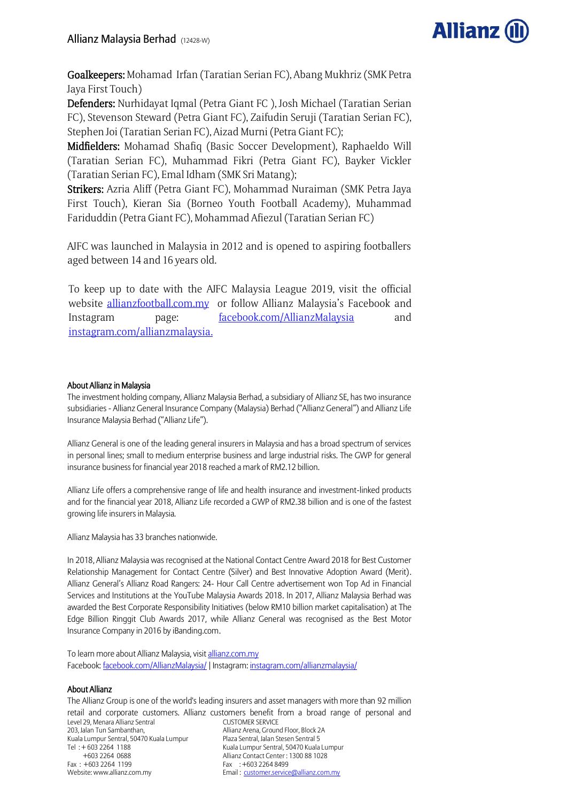

Goalkeepers: Mohamad Irfan (Taratian Serian FC), Abang Mukhriz (SMK Petra Jaya First Touch)

Defenders: Nurhidayat Iqmal (Petra Giant FC ), Josh Michael (Taratian Serian FC), Stevenson Steward (Petra Giant FC), Zaifudin Seruji (Taratian Serian FC), Stephen Joi (Taratian Serian FC), Aizad Murni (Petra Giant FC);

Midfielders: Mohamad Shafiq (Basic Soccer Development), Raphaeldo Will (Taratian Serian FC), Muhammad Fikri (Petra Giant FC), Bayker Vickler (Taratian Serian FC), Emal Idham (SMK Sri Matang);

Strikers: Azria Aliff (Petra Giant FC), Mohammad Nuraiman (SMK Petra Jaya First Touch), Kieran Sia (Borneo Youth Football Academy), Muhammad Fariduddin (Petra Giant FC), Mohammad Afiezul (Taratian Serian FC)

AJFC was launched in Malaysia in 2012 and is opened to aspiring footballers aged between 14 and 16 years old.

To keep up to date with the AJFC Malaysia League 2019, visit the official website [allianzfootball.com.my](http://www.allianzfootball.com.my/) or follow Allianz Malaysia's Facebook and Instagram page: [facebook.com/AllianzMalaysia](http://www.facebook.com/AllianzMalaysia) and [instagram.com/allianzmalaysia.](http://www.instagram.com/allianzmalaysia)

### About Allianz in Malaysia

The investment holding company, Allianz Malaysia Berhad, a subsidiary of Allianz SE, has two insurance subsidiaries - Allianz General Insurance Company (Malaysia) Berhad ("Allianz General") and Allianz Life Insurance Malaysia Berhad ("Allianz Life").

Allianz General is one of the leading general insurers in Malaysia and has a broad spectrum of services in personal lines; small to medium enterprise business and large industrial risks. The GWP for general insurance business for financial year 2018 reached a mark of RM2.12 billion.

Allianz Life offers a comprehensive range of life and health insurance and investment-linked products and for the financial year 2018, Allianz Life recorded a GWP of RM2.38 billion and is one of the fastest growing life insurers in Malaysia.

Allianz Malaysia has 33 branches nationwide.

In 2018, Allianz Malaysia was recognised at the National Contact Centre Award 2018 for Best Customer Relationship Management for Contact Centre (Silver) and Best Innovative Adoption Award (Merit). Allianz General's Allianz Road Rangers: 24- Hour Call Centre advertisement won Top Ad in Financial Services and Institutions at the YouTube Malaysia Awards 2018. In 2017, Allianz Malaysia Berhad was awarded the Best Corporate Responsibility Initiatives (below RM10 billion market capitalisation) at The Edge Billion Ringgit Club Awards 2017, while Allianz General was recognised as the Best Motor Insurance Company in 2016 by iBanding.com.

To learn more about Allianz Malaysia, visi[t allianz.com.my](http://www.allianz.com.my/) Facebook[: facebook.com/AllianzMalaysia/](https://www.facebook.com/AllianzMalaysia/) | Instagram[: instagram.com/allianzmalaysia/](http://www.instagram.com/allianzmalaysia/)

### About Allianz

Level 29, Menara Allianz Sentral 203, Jalan Tun Sambanthan, Kuala Lumpur Sentral, 50470 Kuala Lumpur Tel : + 603 2264 1188 +603 2264 0688 Fax : +603 2264 1199 Website: www.allianz.com.my CUSTOMER SERVICE Allianz Arena, Ground Floor, Block 2A Plaza Sentral, Jalan Stesen Sentral 5 Kuala Lumpur Sentral, 50470 Kuala Lumpur Allianz Contact Center : 1300 88 1028 Fax : +603 2264 8499 Email : customer.service@allianz.com.my The Allianz Group is one of the world's leading insurers and asset managers with more than 92 million retail and corporate customers. Allianz customers benefit from a broad range of personal and